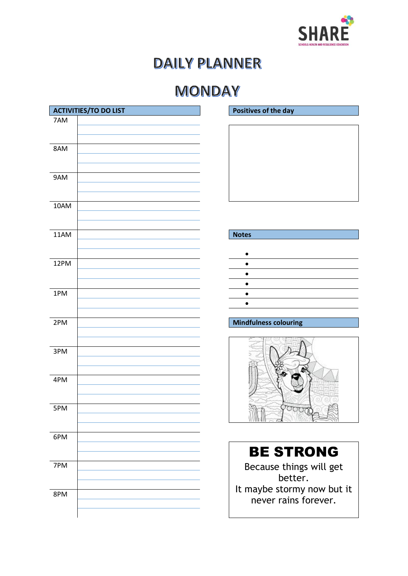

## **MONDAY**

|            | <b>ACTIVITIES/TO DO LIST</b> | <b>Positi</b>          |
|------------|------------------------------|------------------------|
| 7AM        |                              |                        |
| 8AM        |                              |                        |
| 9AM        |                              |                        |
| 10AM       |                              |                        |
| 11AM       |                              | <b>Notes</b>           |
| 12PM       |                              |                        |
|            |                              |                        |
| 1PM        |                              |                        |
| 2PM        |                              | <b>Mindf</b>           |
|            |                              |                        |
| 3PM        |                              |                        |
| 4PM        |                              |                        |
| 5PM        |                              |                        |
| 6PM        |                              |                        |
|            |                              |                        |
| 7PM<br>8PM |                              | B <sub>0</sub><br>It m |

**Positives of the day** 

### **Mindfulness colouring**



# BE STRONG

Because things will get better. It maybe stormy now but it never rains forever.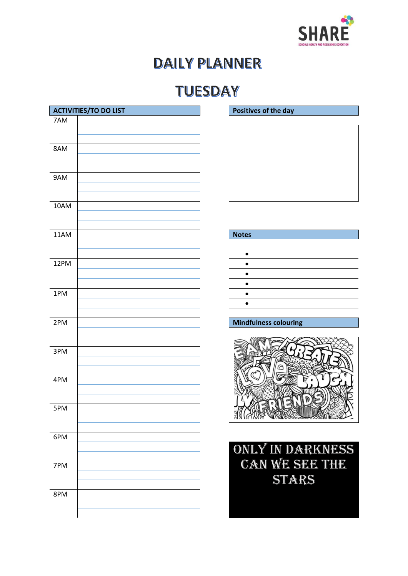

## **TUESDAY**

|      | <b>ACTIVITIES/TO DO LIST</b> | <b>Positi</b>           |
|------|------------------------------|-------------------------|
| 7AM  |                              |                         |
| 8AM  |                              |                         |
| 9AM  |                              |                         |
| 10AM |                              |                         |
| 11AM |                              | <b>Notes</b>            |
| 12PM |                              |                         |
| 1PM  |                              |                         |
| 2PM  |                              | <b>Mindf</b>            |
| 3PM  |                              |                         |
| 4PM  |                              |                         |
| 5PM  |                              | 316                     |
| 6PM  |                              | ON                      |
| 7PM  |                              | $\overline{\mathbb{C}}$ |
| 8PM  |                              |                         |

**Positives of the day** 

| ∙ |  |
|---|--|
|   |  |
|   |  |
|   |  |
|   |  |
|   |  |

### **Mindfulness colouring**



Only in darkness can we see the **STARS**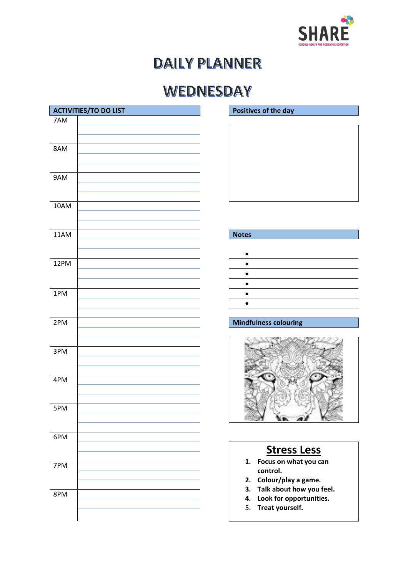

## WEDNESDAY

|      | <b>ACTIVITIES/TO DO LIST</b> | <b>Positi</b>  |
|------|------------------------------|----------------|
| 7AM  |                              |                |
| 8AM  |                              |                |
| 9AM  |                              |                |
| 10AM |                              |                |
| 11AM |                              | <b>Notes</b>   |
| 12PM |                              |                |
| 1PM  |                              |                |
| 2PM  |                              | <b>Mindf</b>   |
| 3PM  |                              |                |
| 4PM  |                              |                |
| 5PM  |                              |                |
| 6PM  |                              |                |
| 7PM  |                              | 1.<br>2.       |
| 8PM  |                              | 3.<br>4.<br>5. |

### **Positives of the day**

### **Mindfulness colouring**



### **Stress Less**

- **1. Focus on what you can control.**
- **2. Colour/play a game.**
- **3. Talk about how you feel.**
- **4. Look for opportunities.**
- 5. **Treat yourself.**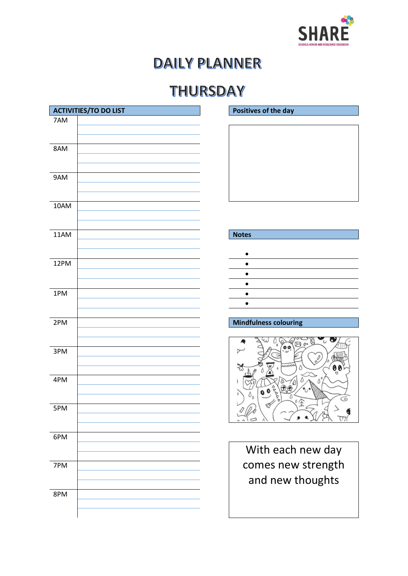

## THURSDAY



| ∙ |  |
|---|--|
|   |  |
|   |  |
|   |  |
|   |  |
|   |  |
|   |  |



With each new day comes new strength and new thoughts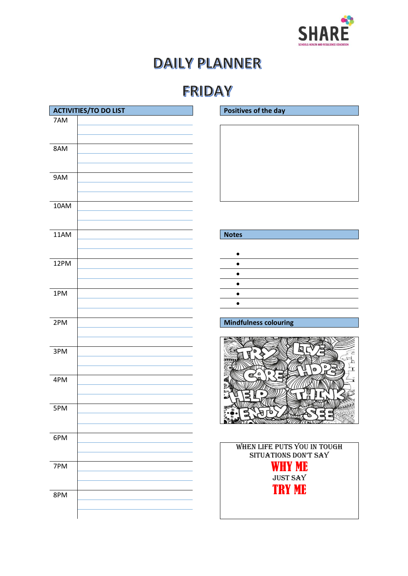

## **FRIDAY**

|      | <b>ACTIVITIES/TO DO LIST</b> | <b>Positi</b> |
|------|------------------------------|---------------|
| 7AM  |                              |               |
| 8AM  |                              |               |
| 9AM  |                              |               |
| 10AM |                              |               |
| 11AM |                              | <b>Notes</b>  |
| 12PM |                              |               |
| 1PM  |                              |               |
| 2PM  |                              | <b>Mindf</b>  |
| 3PM  |                              |               |
| 4PM  |                              |               |
| 5PM  |                              |               |
| 6PM  |                              | W             |
| 7PM  |                              |               |
| 8PM  |                              |               |

### **Positives of the day**

|                             | $\bullet$                         |
|-----------------------------|-----------------------------------|
|                             | $\bullet$                         |
|                             | the control of the control of the |
| and the control of the con- |                                   |
|                             |                                   |
|                             |                                   |
|                             |                                   |

### **Mindfulness colouring**



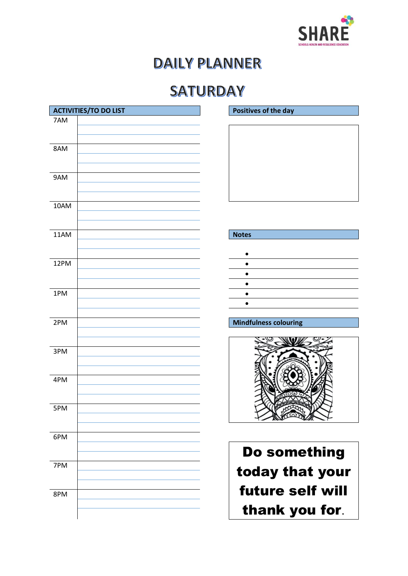

### **SATURDAY**

|      | <b>ACTIVITIES/TO DO LIST</b> | <b>Positi</b>      |
|------|------------------------------|--------------------|
| 7AM  |                              |                    |
| 8AM  |                              |                    |
| 9AM  |                              |                    |
| 10AM |                              |                    |
| 11AM |                              | <b>Notes</b>       |
| 12PM |                              | ٠                  |
| 1PM  |                              |                    |
| 2PM  |                              | <b>Mindf</b>       |
| 3PM  |                              |                    |
| 4PM  |                              |                    |
| 5PM  |                              |                    |
| 6PM  |                              | D                  |
| 7PM  |                              | to                 |
| 8PM  |                              | fu<br>$\mathbf{t}$ |

**Positives of the day** 

### **Mindfulness colouring**



Do something today that your future self will thank you for.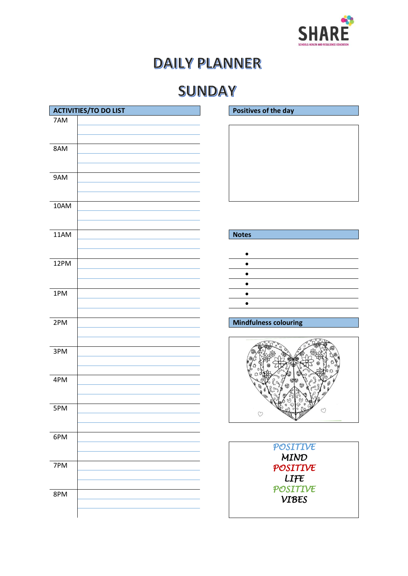

## SUNDAY

|      | <b>ACTIVITIES/TO DO LIST</b> | <b>Positi</b> |
|------|------------------------------|---------------|
| 7AM  |                              |               |
| 8AM  |                              |               |
| 9AM  |                              |               |
| 10AM |                              |               |
| 11AM |                              | <b>Notes</b>  |
| 12PM |                              |               |
| 1PM  |                              |               |
| 2PM  |                              | Mindf         |
|      |                              |               |
| 3PM  |                              |               |
| 4PM  |                              |               |
| 5PM  |                              |               |
| 6PM  |                              |               |
| 7PM  |                              |               |

**Positives of the day** 

### **Mindfulness colouring**